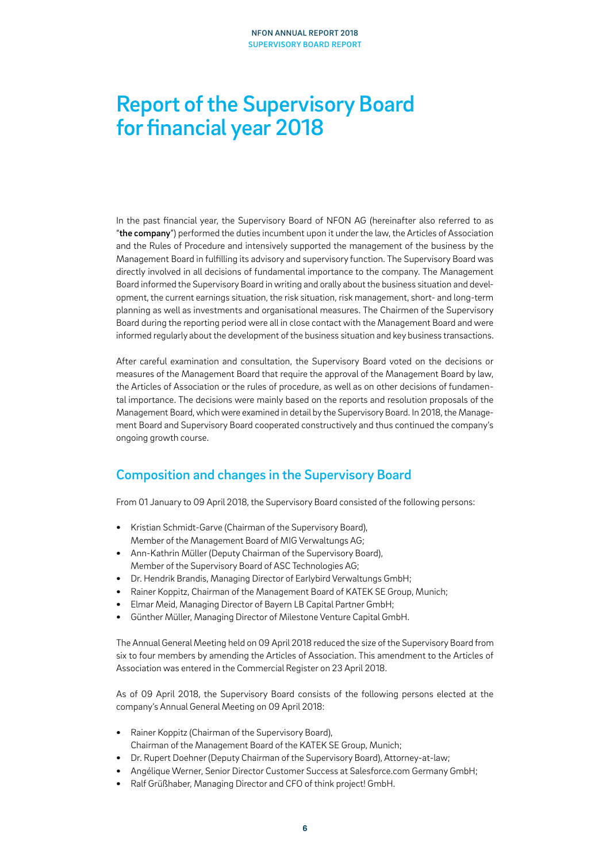# Report of the Supervisory Board for financial year 2018

In the past financial year, the Supervisory Board of NFON AG (hereinafter also referred to as "the company") performed the duties incumbent upon it under the law, the Articles of Association and the Rules of Procedure and intensively supported the management of the business by the Management Board in fulfilling its advisory and supervisory function. The Supervisory Board was directly involved in all decisions of fundamental importance to the company. The Management Board informed the Supervisory Board in writing and orally about the business situation and development, the current earnings situation, the risk situation, risk management, short- and long-term planning as well as investments and organisational measures. The Chairmen of the Supervisory Board during the reporting period were all in close contact with the Management Board and were informed regularly about the development of the business situation and key business transactions.

After careful examination and consultation, the Supervisory Board voted on the decisions or measures of the Management Board that require the approval of the Management Board by law, the Articles of Association or the rules of procedure, as well as on other decisions of fundamental importance. The decisions were mainly based on the reports and resolution proposals of the Management Board, which were examined in detail by the Supervisory Board. In 2018, the Management Board and Supervisory Board cooperated constructively and thus continued the company's ongoing growth course.

# Composition and changes in the Supervisory Board

From 01 January to 09 April 2018, the Supervisory Board consisted of the following persons:

- **•** Kristian Schmidt-Garve (Chairman of the Supervisory Board), Member of the Management Board of MIG Verwaltungs AG;
- **•** Ann-Kathrin Müller (Deputy Chairman of the Supervisory Board), Member of the Supervisory Board of ASC Technologies AG;
- **•** Dr. Hendrik Brandis, Managing Director of Earlybird Verwaltungs GmbH;
- **•** Rainer Koppitz, Chairman of the Management Board of KATEK SE Group, Munich;
- **•** Elmar Meid, Managing Director of Bayern LB Capital Partner GmbH;
- **•** Günther Müller, Managing Director of Milestone Venture Capital GmbH.

The Annual General Meeting held on 09 April 2018 reduced the size of the Supervisory Board from six to four members by amending the Articles of Association. This amendment to the Articles of Association was entered in the Commercial Register on 23 April 2018.

As of 09 April 2018, the Supervisory Board consists of the following persons elected at the company's Annual General Meeting on 09 April 2018:

- **•** Rainer Koppitz (Chairman of the Supervisory Board), Chairman of the Management Board of the KATEK SE Group, Munich;
- **•** Dr. Rupert Doehner (Deputy Chairman of the Supervisory Board), Attorney-at-law;
- **•** Angélique Werner, Senior Director Customer Success at Salesforce.com Germany GmbH;
- **•** Ralf Grüßhaber, Managing Director and CFO of think project! GmbH.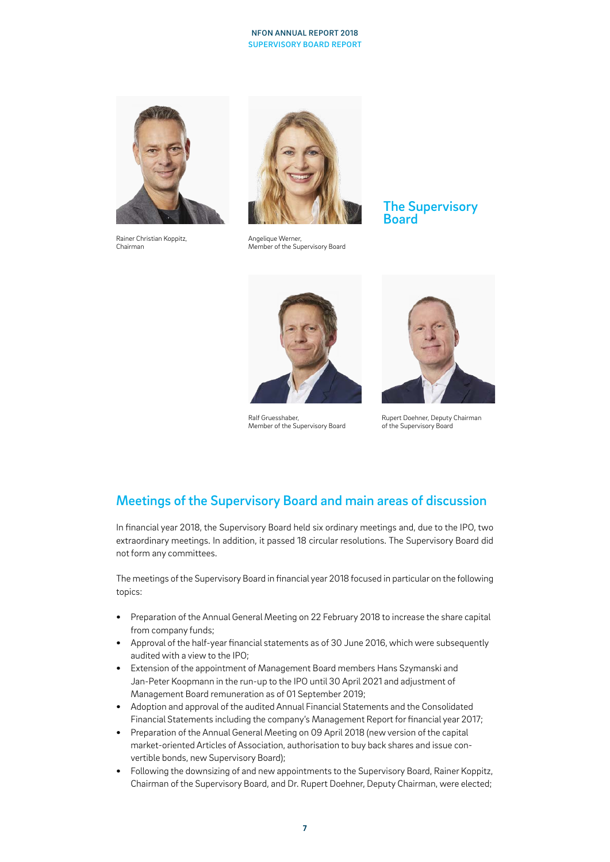### NFON ANNUAL REPORT 2018 SUPERVISORY BOARD REPORT



Rainer Christian Koppitz, Chairman



Angelique Werner, Member of the Supervisory Board

## The Supervisory **Board**



Ralf Gruesshaber, Member of the Supervisory Board



Rupert Doehner, Deputy Chairman of the Supervisory Board

# Meetings of the Supervisory Board and main areas of discussion

In financial year 2018, the Supervisory Board held six ordinary meetings and, due to the IPO, two extraordinary meetings. In addition, it passed 18 circular resolutions. The Supervisory Board did not form any committees.

The meetings of the Supervisory Board in financial year 2018 focused in particular on the following topics:

- **•** Preparation of the Annual General Meeting on 22 February 2018 to increase the share capital from company funds;
- **•** Approval of the half-year financial statements as of 30 June 2016, which were subsequently audited with a view to the IPO;
- **•** Extension of the appointment of Management Board members Hans Szymanski and Jan-Peter Koopmann in the run-up to the IPO until 30 April 2021 and adjustment of Management Board remuneration as of 01 September 2019;
- **•** Adoption and approval of the audited Annual Financial Statements and the Consolidated Financial Statements including the company's Management Report for financial year 2017;
- **•** Preparation of the Annual General Meeting on 09 April 2018 (new version of the capital market-oriented Articles of Association, authorisation to buy back shares and issue convertible bonds, new Supervisory Board);
- **•** Following the downsizing of and new appointments to the Supervisory Board, Rainer Koppitz, Chairman of the Supervisory Board, and Dr. Rupert Doehner, Deputy Chairman, were elected;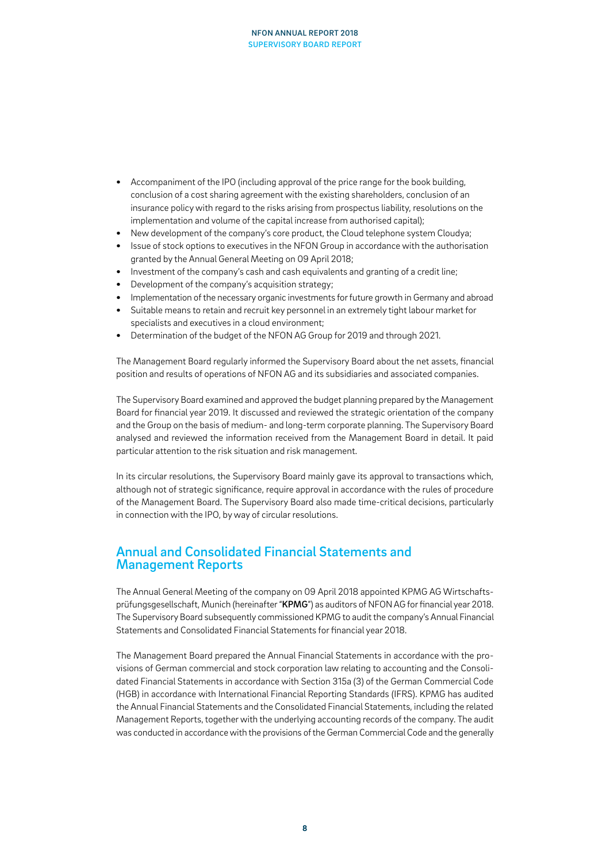### NFON ANNUAL REPORT 2018 SUPERVISORY BOARD REPORT

- **•** Accompaniment of the IPO (including approval of the price range for the book building, conclusion of a cost sharing agreement with the existing shareholders, conclusion of an insurance policy with regard to the risks arising from prospectus liability, resolutions on the implementation and volume of the capital increase from authorised capital);
- **•** New development of the company's core product, the Cloud telephone system Cloudya;
- **•** Issue of stock options to executives in the NFON Group in accordance with the authorisation granted by the Annual General Meeting on 09 April 2018;
- **•** Investment of the company's cash and cash equivalents and granting of a credit line;
- **•** Development of the company's acquisition strategy;
- **•** Implementation of the necessary organic investments for future growth in Germany and abroad
- **•** Suitable means to retain and recruit key personnel in an extremely tight labour market for specialists and executives in a cloud environment;
- **•** Determination of the budget of the NFON AG Group for 2019 and through 2021.

The Management Board regularly informed the Supervisory Board about the net assets, financial position and results of operations of NFON AG and its subsidiaries and associated companies.

The Supervisory Board examined and approved the budget planning prepared by the Management Board for financial year 2019. It discussed and reviewed the strategic orientation of the company and the Group on the basis of medium- and long-term corporate planning. The Supervisory Board analysed and reviewed the information received from the Management Board in detail. It paid particular attention to the risk situation and risk management.

In its circular resolutions, the Supervisory Board mainly gave its approval to transactions which, although not of strategic significance, require approval in accordance with the rules of procedure of the Management Board. The Supervisory Board also made time-critical decisions, particularly in connection with the IPO, by way of circular resolutions.

## Annual and Consolidated Financial Statements and Management Reports

The Annual General Meeting of the company on 09 April 2018 appointed KPMG AG Wirtschaftsprüfungsgesellschaft, Munich (hereinafter "KPMG") as auditors of NFON AG for financial year 2018. The Supervisory Board subsequently commissioned KPMG to audit the company's Annual Financial Statements and Consolidated Financial Statements for financial year 2018.

The Management Board prepared the Annual Financial Statements in accordance with the provisions of German commercial and stock corporation law relating to accounting and the Consolidated Financial Statements in accordance with Section 315a (3) of the German Commercial Code (HGB) in accordance with International Financial Reporting Standards (IFRS). KPMG has audited the Annual Financial Statements and the Consolidated Financial Statements, including the related Management Reports, together with the underlying accounting records of the company. The audit was conducted in accordance with the provisions of the German Commercial Code and the generally